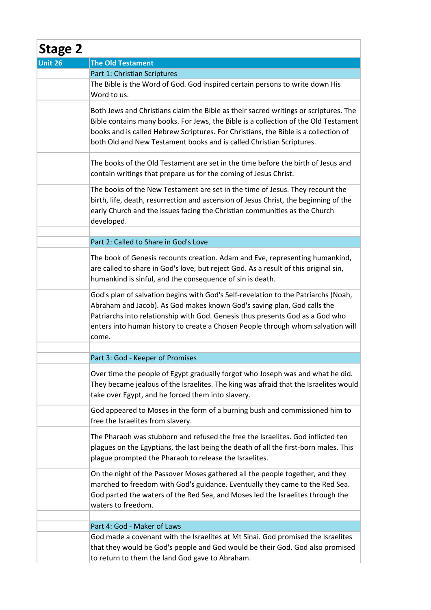| <b>Stage 2</b> |                                                                                                                                                                                                                                                                                                                                            |
|----------------|--------------------------------------------------------------------------------------------------------------------------------------------------------------------------------------------------------------------------------------------------------------------------------------------------------------------------------------------|
| <b>Unit 26</b> | <b>The Old Testament</b>                                                                                                                                                                                                                                                                                                                   |
|                | Part 1: Christian Scriptures                                                                                                                                                                                                                                                                                                               |
|                | The Bible is the Word of God. God inspired certain persons to write down His<br>Word to us.                                                                                                                                                                                                                                                |
|                | Both Jews and Christians claim the Bible as their sacred writings or scriptures. The<br>Bible contains many books. For Jews, the Bible is a collection of the Old Testament<br>books and is called Hebrew Scriptures. For Christians, the Bible is a collection of<br>both Old and New Testament books and is called Christian Scriptures. |
|                | The books of the Old Testament are set in the time before the birth of Jesus and<br>contain writings that prepare us for the coming of Jesus Christ.                                                                                                                                                                                       |
|                | The books of the New Testament are set in the time of Jesus. They recount the<br>birth, life, death, resurrection and ascension of Jesus Christ, the beginning of the<br>early Church and the issues facing the Christian communities as the Church<br>developed.                                                                          |
|                | Part 2: Called to Share in God's Love                                                                                                                                                                                                                                                                                                      |
|                |                                                                                                                                                                                                                                                                                                                                            |
|                | The book of Genesis recounts creation. Adam and Eve, representing humankind,<br>are called to share in God's love, but reject God. As a result of this original sin,<br>humankind is sinful, and the consequence of sin is death.                                                                                                          |
|                | God's plan of salvation begins with God's Self-revelation to the Patriarchs (Noah,<br>Abraham and Jacob). As God makes known God's saving plan, God calls the<br>Patriarchs into relationship with God. Genesis thus presents God as a God who<br>enters into human history to create a Chosen People through whom salvation will<br>come. |
|                |                                                                                                                                                                                                                                                                                                                                            |
|                | Part 3: God - Keeper of Promises                                                                                                                                                                                                                                                                                                           |
|                | Over time the people of Egypt gradually forgot who Joseph was and what he did.<br>They became jealous of the Israelites. The king was afraid that the Israelites would<br>take over Egypt, and he forced them into slavery.                                                                                                                |
|                | God appeared to Moses in the form of a burning bush and commissioned him to<br>free the Israelites from slavery.                                                                                                                                                                                                                           |
|                | The Pharaoh was stubborn and refused the free the Israelites. God inflicted ten<br>plagues on the Egyptians, the last being the death of all the first-born males. This<br>plague prompted the Pharaoh to release the Israelites.                                                                                                          |
|                | On the night of the Passover Moses gathered all the people together, and they<br>marched to freedom with God's guidance. Eventually they came to the Red Sea.<br>God parted the waters of the Red Sea, and Moses led the Israelites through the<br>waters to freedom.                                                                      |
|                |                                                                                                                                                                                                                                                                                                                                            |
|                | Part 4: God - Maker of Laws                                                                                                                                                                                                                                                                                                                |
|                | God made a covenant with the Israelites at Mt Sinai. God promised the Israelites<br>that they would be God's people and God would be their God. God also promised<br>to return to them the land God gave to Abraham.                                                                                                                       |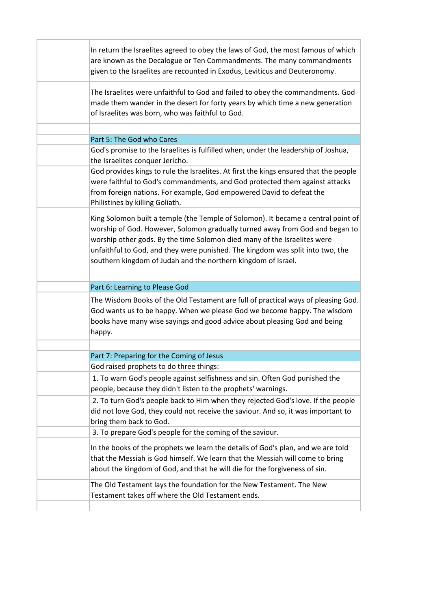| In return the Israelites agreed to obey the laws of God, the most famous of which<br>are known as the Decalogue or Ten Commandments. The many commandments<br>given to the Israelites are recounted in Exodus, Leviticus and Deuteronomy.                                                                                                                                                        |
|--------------------------------------------------------------------------------------------------------------------------------------------------------------------------------------------------------------------------------------------------------------------------------------------------------------------------------------------------------------------------------------------------|
| The Israelites were unfaithful to God and failed to obey the commandments. God<br>made them wander in the desert for forty years by which time a new generation<br>of Israelites was born, who was faithful to God.                                                                                                                                                                              |
|                                                                                                                                                                                                                                                                                                                                                                                                  |
| Part 5: The God who Cares                                                                                                                                                                                                                                                                                                                                                                        |
| God's promise to the Israelites is fulfilled when, under the leadership of Joshua,<br>the Israelites conquer Jericho.                                                                                                                                                                                                                                                                            |
| God provides kings to rule the Israelites. At first the kings ensured that the people<br>were faithful to God's commandments, and God protected them against attacks<br>from foreign nations. For example, God empowered David to defeat the<br>Philistines by killing Goliath.                                                                                                                  |
| King Solomon built a temple (the Temple of Solomon). It became a central point of<br>worship of God. However, Solomon gradually turned away from God and began to<br>worship other gods. By the time Solomon died many of the Israelites were<br>unfaithful to God, and they were punished. The kingdom was split into two, the<br>southern kingdom of Judah and the northern kingdom of Israel. |
|                                                                                                                                                                                                                                                                                                                                                                                                  |
| Part 6: Learning to Please God                                                                                                                                                                                                                                                                                                                                                                   |
| The Wisdom Books of the Old Testament are full of practical ways of pleasing God.<br>God wants us to be happy. When we please God we become happy. The wisdom<br>books have many wise sayings and good advice about pleasing God and being                                                                                                                                                       |
| happy.                                                                                                                                                                                                                                                                                                                                                                                           |
|                                                                                                                                                                                                                                                                                                                                                                                                  |
| Part 7: Preparing for the Coming of Jesus                                                                                                                                                                                                                                                                                                                                                        |
| God raised prophets to do three things:                                                                                                                                                                                                                                                                                                                                                          |
| 1. To warn God's people against selfishness and sin. Often God punished the<br>people, because they didn't listen to the prophets' warnings.                                                                                                                                                                                                                                                     |
| 2. To turn God's people back to Him when they rejected God's love. If the people<br>did not love God, they could not receive the saviour. And so, it was important to<br>bring them back to God.                                                                                                                                                                                                 |
| 3. To prepare God's people for the coming of the saviour.                                                                                                                                                                                                                                                                                                                                        |
| In the books of the prophets we learn the details of God's plan, and we are told<br>that the Messiah is God himself. We learn that the Messiah will come to bring<br>about the kingdom of God, and that he will die for the forgiveness of sin.                                                                                                                                                  |
| The Old Testament lays the foundation for the New Testament. The New<br>Testament takes off where the Old Testament ends.                                                                                                                                                                                                                                                                        |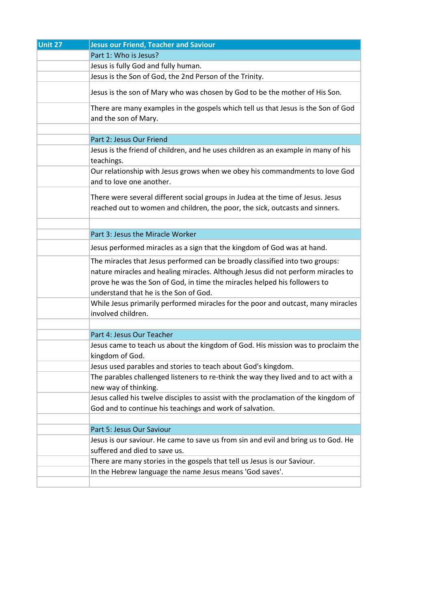| Unit 27 | <b>Jesus our Friend, Teacher and Saviour</b>                                                                                                                                                                                                                                           |
|---------|----------------------------------------------------------------------------------------------------------------------------------------------------------------------------------------------------------------------------------------------------------------------------------------|
|         | Part 1: Who is Jesus?                                                                                                                                                                                                                                                                  |
|         | Jesus is fully God and fully human.                                                                                                                                                                                                                                                    |
|         | Jesus is the Son of God, the 2nd Person of the Trinity.                                                                                                                                                                                                                                |
|         | Jesus is the son of Mary who was chosen by God to be the mother of His Son.                                                                                                                                                                                                            |
|         | There are many examples in the gospels which tell us that Jesus is the Son of God<br>and the son of Mary.                                                                                                                                                                              |
|         |                                                                                                                                                                                                                                                                                        |
|         | Part 2: Jesus Our Friend                                                                                                                                                                                                                                                               |
|         | Jesus is the friend of children, and he uses children as an example in many of his<br>teachings.                                                                                                                                                                                       |
|         | Our relationship with Jesus grows when we obey his commandments to love God<br>and to love one another.                                                                                                                                                                                |
|         | There were several different social groups in Judea at the time of Jesus. Jesus<br>reached out to women and children, the poor, the sick, outcasts and sinners.                                                                                                                        |
|         |                                                                                                                                                                                                                                                                                        |
|         | Part 3: Jesus the Miracle Worker                                                                                                                                                                                                                                                       |
|         | Jesus performed miracles as a sign that the kingdom of God was at hand.                                                                                                                                                                                                                |
|         | The miracles that Jesus performed can be broadly classified into two groups:<br>nature miracles and healing miracles. Although Jesus did not perform miracles to<br>prove he was the Son of God, in time the miracles helped his followers to<br>understand that he is the Son of God. |
|         | While Jesus primarily performed miracles for the poor and outcast, many miracles<br>involved children.                                                                                                                                                                                 |
|         |                                                                                                                                                                                                                                                                                        |
|         | Part 4: Jesus Our Teacher                                                                                                                                                                                                                                                              |
|         | Jesus came to teach us about the kingdom of God. His mission was to proclaim the<br>kingdom of God.                                                                                                                                                                                    |
|         | Jesus used parables and stories to teach about God's kingdom.                                                                                                                                                                                                                          |
|         | The parables challenged listeners to re-think the way they lived and to act with a<br>new way of thinking.                                                                                                                                                                             |
|         | Jesus called his twelve disciples to assist with the proclamation of the kingdom of<br>God and to continue his teachings and work of salvation.                                                                                                                                        |
|         |                                                                                                                                                                                                                                                                                        |
|         | Part 5: Jesus Our Saviour                                                                                                                                                                                                                                                              |
|         | Jesus is our saviour. He came to save us from sin and evil and bring us to God. He<br>suffered and died to save us.                                                                                                                                                                    |
|         | There are many stories in the gospels that tell us Jesus is our Saviour.                                                                                                                                                                                                               |
|         | In the Hebrew language the name Jesus means 'God saves'.                                                                                                                                                                                                                               |
|         |                                                                                                                                                                                                                                                                                        |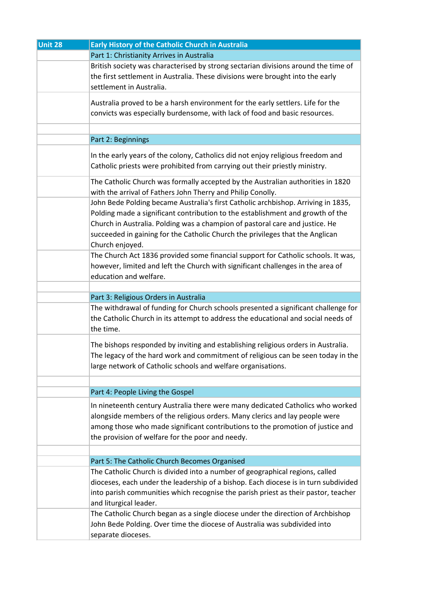| <b>Unit 28</b> | Early History of the Catholic Church in Australia                                                                                                                                                                                                                                                   |
|----------------|-----------------------------------------------------------------------------------------------------------------------------------------------------------------------------------------------------------------------------------------------------------------------------------------------------|
|                | Part 1: Christianity Arrives in Australia                                                                                                                                                                                                                                                           |
|                | British society was characterised by strong sectarian divisions around the time of<br>the first settlement in Australia. These divisions were brought into the early<br>settlement in Australia.                                                                                                    |
|                | Australia proved to be a harsh environment for the early settlers. Life for the<br>convicts was especially burdensome, with lack of food and basic resources.                                                                                                                                       |
|                | Part 2: Beginnings                                                                                                                                                                                                                                                                                  |
|                | In the early years of the colony, Catholics did not enjoy religious freedom and<br>Catholic priests were prohibited from carrying out their priestly ministry.                                                                                                                                      |
|                | The Catholic Church was formally accepted by the Australian authorities in 1820<br>with the arrival of Fathers John Therry and Philip Conolly.                                                                                                                                                      |
|                | John Bede Polding became Australia's first Catholic archbishop. Arriving in 1835,                                                                                                                                                                                                                   |
|                | Polding made a significant contribution to the establishment and growth of the                                                                                                                                                                                                                      |
|                | Church in Australia. Polding was a champion of pastoral care and justice. He                                                                                                                                                                                                                        |
|                | succeeded in gaining for the Catholic Church the privileges that the Anglican<br>Church enjoyed.                                                                                                                                                                                                    |
|                | The Church Act 1836 provided some financial support for Catholic schools. It was,                                                                                                                                                                                                                   |
|                | however, limited and left the Church with significant challenges in the area of                                                                                                                                                                                                                     |
|                | education and welfare.                                                                                                                                                                                                                                                                              |
|                |                                                                                                                                                                                                                                                                                                     |
|                | Part 3: Religious Orders in Australia<br>The withdrawal of funding for Church schools presented a significant challenge for                                                                                                                                                                         |
|                | the Catholic Church in its attempt to address the educational and social needs of<br>the time.                                                                                                                                                                                                      |
|                | The bishops responded by inviting and establishing religious orders in Australia.<br>The legacy of the hard work and commitment of religious can be seen today in the<br>large network of Catholic schools and welfare organisations.                                                               |
|                |                                                                                                                                                                                                                                                                                                     |
|                | Part 4: People Living the Gospel                                                                                                                                                                                                                                                                    |
|                | In nineteenth century Australia there were many dedicated Catholics who worked<br>alongside members of the religious orders. Many clerics and lay people were<br>among those who made significant contributions to the promotion of justice and<br>the provision of welfare for the poor and needy. |
|                |                                                                                                                                                                                                                                                                                                     |
|                | Part 5: The Catholic Church Becomes Organised<br>The Catholic Church is divided into a number of geographical regions, called                                                                                                                                                                       |
|                | dioceses, each under the leadership of a bishop. Each diocese is in turn subdivided<br>into parish communities which recognise the parish priest as their pastor, teacher<br>and liturgical leader.                                                                                                 |
|                | The Catholic Church began as a single diocese under the direction of Archbishop<br>John Bede Polding. Over time the diocese of Australia was subdivided into<br>separate dioceses.                                                                                                                  |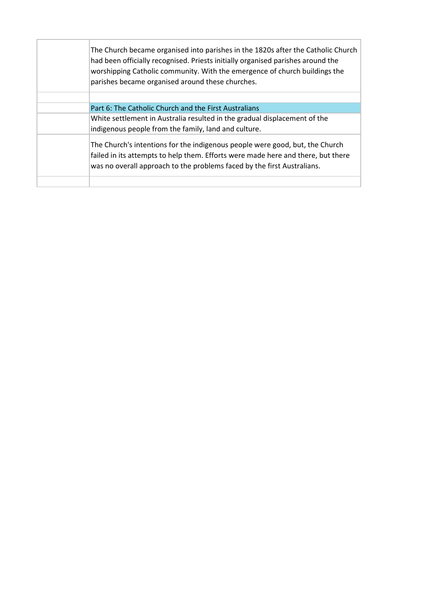| The Church became organised into parishes in the 1820s after the Catholic Church<br>had been officially recognised. Priests initially organised parishes around the<br>worshipping Catholic community. With the emergence of church buildings the<br>parishes became organised around these churches. |
|-------------------------------------------------------------------------------------------------------------------------------------------------------------------------------------------------------------------------------------------------------------------------------------------------------|
|                                                                                                                                                                                                                                                                                                       |
| Part 6: The Catholic Church and the First Australians                                                                                                                                                                                                                                                 |
| White settlement in Australia resulted in the gradual displacement of the                                                                                                                                                                                                                             |
| indigenous people from the family, land and culture.                                                                                                                                                                                                                                                  |
| The Church's intentions for the indigenous people were good, but, the Church<br>failed in its attempts to help them. Efforts were made here and there, but there<br>was no overall approach to the problems faced by the first Australians.                                                           |
|                                                                                                                                                                                                                                                                                                       |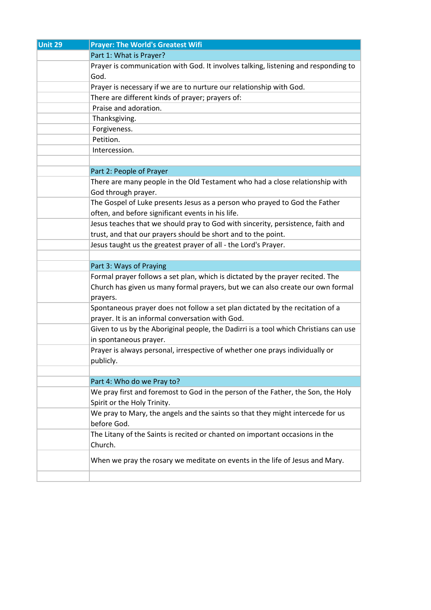| Unit 29 | <b>Prayer: The World's Greatest Wifi</b>                                                                                                 |
|---------|------------------------------------------------------------------------------------------------------------------------------------------|
|         | Part 1: What is Prayer?                                                                                                                  |
|         | Prayer is communication with God. It involves talking, listening and responding to                                                       |
|         | God.                                                                                                                                     |
|         | Prayer is necessary if we are to nurture our relationship with God.                                                                      |
|         | There are different kinds of prayer; prayers of:                                                                                         |
|         | Praise and adoration.                                                                                                                    |
|         | Thanksgiving.                                                                                                                            |
|         | Forgiveness.                                                                                                                             |
|         | Petition.                                                                                                                                |
|         | Intercession.                                                                                                                            |
|         |                                                                                                                                          |
|         | Part 2: People of Prayer                                                                                                                 |
|         | There are many people in the Old Testament who had a close relationship with                                                             |
|         | God through prayer.                                                                                                                      |
|         | The Gospel of Luke presents Jesus as a person who prayed to God the Father                                                               |
|         | often, and before significant events in his life.                                                                                        |
|         | Jesus teaches that we should pray to God with sincerity, persistence, faith and                                                          |
|         | trust, and that our prayers should be short and to the point.                                                                            |
|         | Jesus taught us the greatest prayer of all - the Lord's Prayer.                                                                          |
|         |                                                                                                                                          |
|         | Part 3: Ways of Praying                                                                                                                  |
|         | Formal prayer follows a set plan, which is dictated by the prayer recited. The                                                           |
|         | Church has given us many formal prayers, but we can also create our own formal                                                           |
|         | prayers.                                                                                                                                 |
|         | Spontaneous prayer does not follow a set plan dictated by the recitation of a                                                            |
|         | prayer. It is an informal conversation with God.<br>Given to us by the Aboriginal people, the Dadirri is a tool which Christians can use |
|         | in spontaneous prayer.                                                                                                                   |
|         | Prayer is always personal, irrespective of whether one prays individually or                                                             |
|         | publicly.                                                                                                                                |
|         |                                                                                                                                          |
|         | Part 4: Who do we Pray to?                                                                                                               |
|         | We pray first and foremost to God in the person of the Father, the Son, the Holy                                                         |
|         | Spirit or the Holy Trinity.                                                                                                              |
|         | We pray to Mary, the angels and the saints so that they might intercede for us                                                           |
|         | before God.                                                                                                                              |
|         | The Litany of the Saints is recited or chanted on important occasions in the                                                             |
|         | Church.                                                                                                                                  |
|         |                                                                                                                                          |
|         | When we pray the rosary we meditate on events in the life of Jesus and Mary.                                                             |
|         |                                                                                                                                          |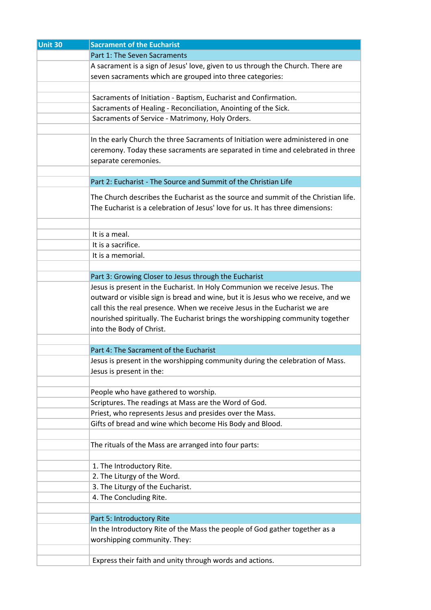| Unit 30 | <b>Sacrament of the Eucharist</b>                                                                                                                                                                                                                                             |
|---------|-------------------------------------------------------------------------------------------------------------------------------------------------------------------------------------------------------------------------------------------------------------------------------|
|         | Part 1: The Seven Sacraments                                                                                                                                                                                                                                                  |
|         | A sacrament is a sign of Jesus' love, given to us through the Church. There are<br>seven sacraments which are grouped into three categories:                                                                                                                                  |
|         |                                                                                                                                                                                                                                                                               |
|         | Sacraments of Initiation - Baptism, Eucharist and Confirmation.                                                                                                                                                                                                               |
|         | Sacraments of Healing - Reconciliation, Anointing of the Sick.                                                                                                                                                                                                                |
|         | Sacraments of Service - Matrimony, Holy Orders.                                                                                                                                                                                                                               |
|         |                                                                                                                                                                                                                                                                               |
|         | In the early Church the three Sacraments of Initiation were administered in one<br>ceremony. Today these sacraments are separated in time and celebrated in three<br>separate ceremonies.                                                                                     |
|         | Part 2: Eucharist - The Source and Summit of the Christian Life                                                                                                                                                                                                               |
|         | The Church describes the Eucharist as the source and summit of the Christian life.<br>The Eucharist is a celebration of Jesus' love for us. It has three dimensions:                                                                                                          |
|         |                                                                                                                                                                                                                                                                               |
|         | It is a meal.                                                                                                                                                                                                                                                                 |
|         | It is a sacrifice.                                                                                                                                                                                                                                                            |
|         | It is a memorial.                                                                                                                                                                                                                                                             |
|         | Part 3: Growing Closer to Jesus through the Eucharist                                                                                                                                                                                                                         |
|         | Jesus is present in the Eucharist. In Holy Communion we receive Jesus. The                                                                                                                                                                                                    |
|         | outward or visible sign is bread and wine, but it is Jesus who we receive, and we<br>call this the real presence. When we receive Jesus in the Eucharist we are<br>nourished spiritually. The Eucharist brings the worshipping community together<br>into the Body of Christ. |
|         |                                                                                                                                                                                                                                                                               |
|         | Part 4: The Sacrament of the Eucharist                                                                                                                                                                                                                                        |
|         | Jesus is present in the worshipping community during the celebration of Mass.<br>Jesus is present in the:                                                                                                                                                                     |
|         |                                                                                                                                                                                                                                                                               |
|         | People who have gathered to worship.                                                                                                                                                                                                                                          |
|         | Scriptures. The readings at Mass are the Word of God.                                                                                                                                                                                                                         |
|         | Priest, who represents Jesus and presides over the Mass.                                                                                                                                                                                                                      |
|         | Gifts of bread and wine which become His Body and Blood.                                                                                                                                                                                                                      |
|         |                                                                                                                                                                                                                                                                               |
|         | The rituals of the Mass are arranged into four parts:                                                                                                                                                                                                                         |
|         | 1. The Introductory Rite.                                                                                                                                                                                                                                                     |
|         | 2. The Liturgy of the Word.                                                                                                                                                                                                                                                   |
|         | 3. The Liturgy of the Eucharist.                                                                                                                                                                                                                                              |
|         | 4. The Concluding Rite.                                                                                                                                                                                                                                                       |
|         |                                                                                                                                                                                                                                                                               |
|         | Part 5: Introductory Rite                                                                                                                                                                                                                                                     |
|         | In the Introductory Rite of the Mass the people of God gather together as a                                                                                                                                                                                                   |
|         | worshipping community. They:                                                                                                                                                                                                                                                  |
|         |                                                                                                                                                                                                                                                                               |
|         | Express their faith and unity through words and actions.                                                                                                                                                                                                                      |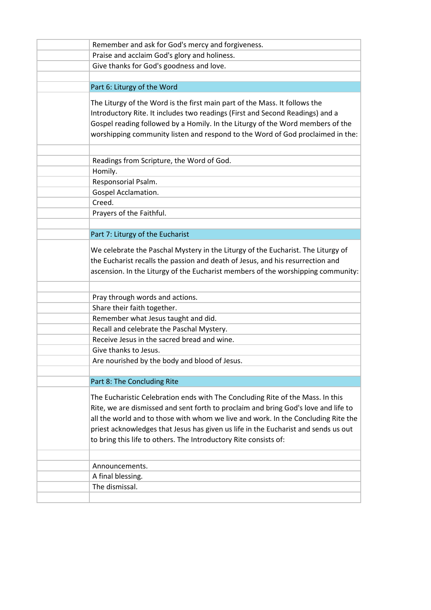| Remember and ask for God's mercy and forgiveness.                                                                                                                                                                                                                                                                                                                                                                   |
|---------------------------------------------------------------------------------------------------------------------------------------------------------------------------------------------------------------------------------------------------------------------------------------------------------------------------------------------------------------------------------------------------------------------|
| Praise and acclaim God's glory and holiness.                                                                                                                                                                                                                                                                                                                                                                        |
| Give thanks for God's goodness and love.                                                                                                                                                                                                                                                                                                                                                                            |
|                                                                                                                                                                                                                                                                                                                                                                                                                     |
| Part 6: Liturgy of the Word                                                                                                                                                                                                                                                                                                                                                                                         |
| The Liturgy of the Word is the first main part of the Mass. It follows the<br>Introductory Rite. It includes two readings (First and Second Readings) and a<br>Gospel reading followed by a Homily. In the Liturgy of the Word members of the<br>worshipping community listen and respond to the Word of God proclaimed in the:                                                                                     |
|                                                                                                                                                                                                                                                                                                                                                                                                                     |
| Readings from Scripture, the Word of God.                                                                                                                                                                                                                                                                                                                                                                           |
| Homily.                                                                                                                                                                                                                                                                                                                                                                                                             |
| Responsorial Psalm.                                                                                                                                                                                                                                                                                                                                                                                                 |
| Gospel Acclamation.                                                                                                                                                                                                                                                                                                                                                                                                 |
| Creed.                                                                                                                                                                                                                                                                                                                                                                                                              |
| Prayers of the Faithful.                                                                                                                                                                                                                                                                                                                                                                                            |
|                                                                                                                                                                                                                                                                                                                                                                                                                     |
| Part 7: Liturgy of the Eucharist                                                                                                                                                                                                                                                                                                                                                                                    |
| We celebrate the Paschal Mystery in the Liturgy of the Eucharist. The Liturgy of<br>the Eucharist recalls the passion and death of Jesus, and his resurrection and<br>ascension. In the Liturgy of the Eucharist members of the worshipping community:                                                                                                                                                              |
| Pray through words and actions.                                                                                                                                                                                                                                                                                                                                                                                     |
| Share their faith together.                                                                                                                                                                                                                                                                                                                                                                                         |
| Remember what Jesus taught and did.                                                                                                                                                                                                                                                                                                                                                                                 |
| Recall and celebrate the Paschal Mystery.                                                                                                                                                                                                                                                                                                                                                                           |
| Receive Jesus in the sacred bread and wine.                                                                                                                                                                                                                                                                                                                                                                         |
| Give thanks to Jesus.                                                                                                                                                                                                                                                                                                                                                                                               |
| Are nourished by the body and blood of Jesus.                                                                                                                                                                                                                                                                                                                                                                       |
|                                                                                                                                                                                                                                                                                                                                                                                                                     |
| Part 8: The Concluding Rite                                                                                                                                                                                                                                                                                                                                                                                         |
| The Eucharistic Celebration ends with The Concluding Rite of the Mass. In this<br>Rite, we are dismissed and sent forth to proclaim and bring God's love and life to<br>all the world and to those with whom we live and work. In the Concluding Rite the<br>priest acknowledges that Jesus has given us life in the Eucharist and sends us out<br>to bring this life to others. The Introductory Rite consists of: |
|                                                                                                                                                                                                                                                                                                                                                                                                                     |
| Announcements.                                                                                                                                                                                                                                                                                                                                                                                                      |
| A final blessing.                                                                                                                                                                                                                                                                                                                                                                                                   |
| The dismissal.                                                                                                                                                                                                                                                                                                                                                                                                      |
|                                                                                                                                                                                                                                                                                                                                                                                                                     |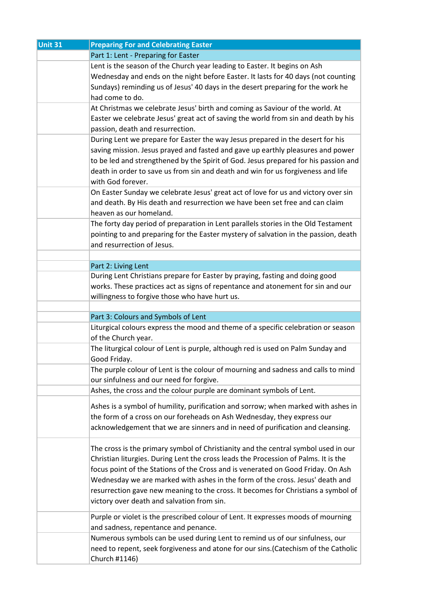| <b>Unit 31</b> | <b>Preparing For and Celebrating Easter</b>                                                                                                                                                                                                                                                                                                                                                                                                                                       |
|----------------|-----------------------------------------------------------------------------------------------------------------------------------------------------------------------------------------------------------------------------------------------------------------------------------------------------------------------------------------------------------------------------------------------------------------------------------------------------------------------------------|
|                | Part 1: Lent - Preparing for Easter                                                                                                                                                                                                                                                                                                                                                                                                                                               |
|                | Lent is the season of the Church year leading to Easter. It begins on Ash<br>Wednesday and ends on the night before Easter. It lasts for 40 days (not counting<br>Sundays) reminding us of Jesus' 40 days in the desert preparing for the work he<br>had come to do.                                                                                                                                                                                                              |
|                | At Christmas we celebrate Jesus' birth and coming as Saviour of the world. At<br>Easter we celebrate Jesus' great act of saving the world from sin and death by his<br>passion, death and resurrection.                                                                                                                                                                                                                                                                           |
|                | During Lent we prepare for Easter the way Jesus prepared in the desert for his<br>saving mission. Jesus prayed and fasted and gave up earthly pleasures and power<br>to be led and strengthened by the Spirit of God. Jesus prepared for his passion and<br>death in order to save us from sin and death and win for us forgiveness and life<br>with God forever.                                                                                                                 |
|                | On Easter Sunday we celebrate Jesus' great act of love for us and victory over sin<br>and death. By His death and resurrection we have been set free and can claim<br>heaven as our homeland.                                                                                                                                                                                                                                                                                     |
|                | The forty day period of preparation in Lent parallels stories in the Old Testament<br>pointing to and preparing for the Easter mystery of salvation in the passion, death<br>and resurrection of Jesus.                                                                                                                                                                                                                                                                           |
|                |                                                                                                                                                                                                                                                                                                                                                                                                                                                                                   |
|                | Part 2: Living Lent<br>During Lent Christians prepare for Easter by praying, fasting and doing good<br>works. These practices act as signs of repentance and atonement for sin and our<br>willingness to forgive those who have hurt us.                                                                                                                                                                                                                                          |
|                | Part 3: Colours and Symbols of Lent                                                                                                                                                                                                                                                                                                                                                                                                                                               |
|                | Liturgical colours express the mood and theme of a specific celebration or season<br>of the Church year.                                                                                                                                                                                                                                                                                                                                                                          |
|                | The liturgical colour of Lent is purple, although red is used on Palm Sunday and<br>Good Friday.                                                                                                                                                                                                                                                                                                                                                                                  |
|                | The purple colour of Lent is the colour of mourning and sadness and calls to mind<br>our sinfulness and our need for forgive.                                                                                                                                                                                                                                                                                                                                                     |
|                | Ashes, the cross and the colour purple are dominant symbols of Lent.                                                                                                                                                                                                                                                                                                                                                                                                              |
|                | Ashes is a symbol of humility, purification and sorrow; when marked with ashes in<br>the form of a cross on our foreheads on Ash Wednesday, they express our<br>acknowledgement that we are sinners and in need of purification and cleansing.                                                                                                                                                                                                                                    |
|                | The cross is the primary symbol of Christianity and the central symbol used in our<br>Christian liturgies. During Lent the cross leads the Procession of Palms. It is the<br>focus point of the Stations of the Cross and is venerated on Good Friday. On Ash<br>Wednesday we are marked with ashes in the form of the cross. Jesus' death and<br>resurrection gave new meaning to the cross. It becomes for Christians a symbol of<br>victory over death and salvation from sin. |
|                | Purple or violet is the prescribed colour of Lent. It expresses moods of mourning<br>and sadness, repentance and penance.                                                                                                                                                                                                                                                                                                                                                         |
|                | Numerous symbols can be used during Lent to remind us of our sinfulness, our<br>need to repent, seek forgiveness and atone for our sins.(Catechism of the Catholic<br>Church #1146)                                                                                                                                                                                                                                                                                               |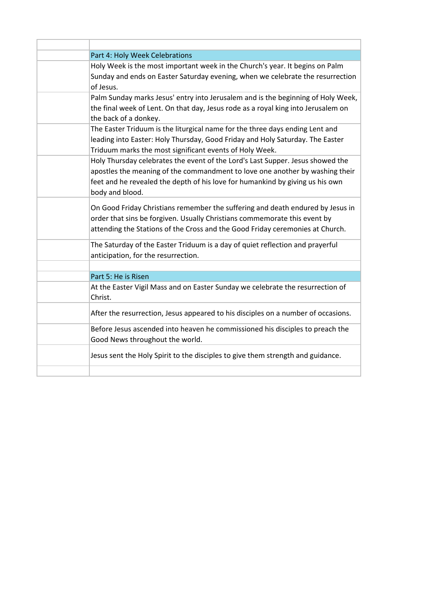| Part 4: Holy Week Celebrations                                                    |
|-----------------------------------------------------------------------------------|
| Holy Week is the most important week in the Church's year. It begins on Palm      |
| Sunday and ends on Easter Saturday evening, when we celebrate the resurrection    |
| of Jesus.                                                                         |
| Palm Sunday marks Jesus' entry into Jerusalem and is the beginning of Holy Week,  |
| the final week of Lent. On that day, Jesus rode as a royal king into Jerusalem on |
| the back of a donkey.                                                             |
| The Easter Triduum is the liturgical name for the three days ending Lent and      |
| leading into Easter: Holy Thursday, Good Friday and Holy Saturday. The Easter     |
| Triduum marks the most significant events of Holy Week.                           |
| Holy Thursday celebrates the event of the Lord's Last Supper. Jesus showed the    |
| apostles the meaning of the commandment to love one another by washing their      |
| feet and he revealed the depth of his love for humankind by giving us his own     |
| body and blood.                                                                   |
|                                                                                   |
| On Good Friday Christians remember the suffering and death endured by Jesus in    |
| order that sins be forgiven. Usually Christians commemorate this event by         |
| attending the Stations of the Cross and the Good Friday ceremonies at Church.     |
| The Saturday of the Easter Triduum is a day of quiet reflection and prayerful     |
| anticipation, for the resurrection.                                               |
|                                                                                   |
| Part 5: He is Risen                                                               |
| At the Easter Vigil Mass and on Easter Sunday we celebrate the resurrection of    |
| Christ.                                                                           |
| After the resurrection, Jesus appeared to his disciples on a number of occasions. |
|                                                                                   |
| Before Jesus ascended into heaven he commissioned his disciples to preach the     |
| Good News throughout the world.                                                   |
| Jesus sent the Holy Spirit to the disciples to give them strength and guidance.   |
|                                                                                   |
|                                                                                   |
|                                                                                   |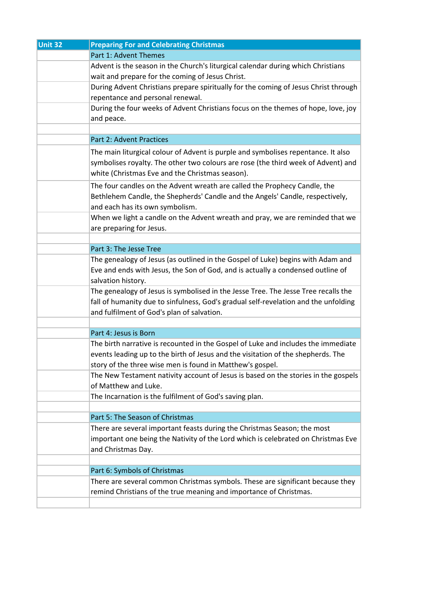| Unit 32 | <b>Preparing For and Celebrating Christmas</b>                                      |
|---------|-------------------------------------------------------------------------------------|
|         | Part 1: Advent Themes                                                               |
|         | Advent is the season in the Church's liturgical calendar during which Christians    |
|         | wait and prepare for the coming of Jesus Christ.                                    |
|         | During Advent Christians prepare spiritually for the coming of Jesus Christ through |
|         | repentance and personal renewal.                                                    |
|         | During the four weeks of Advent Christians focus on the themes of hope, love, joy   |
|         | and peace.                                                                          |
|         |                                                                                     |
|         | Part 2: Advent Practices                                                            |
|         | The main liturgical colour of Advent is purple and symbolises repentance. It also   |
|         | symbolises royalty. The other two colours are rose (the third week of Advent) and   |
|         | white (Christmas Eve and the Christmas season).                                     |
|         | The four candles on the Advent wreath are called the Prophecy Candle, the           |
|         | Bethlehem Candle, the Shepherds' Candle and the Angels' Candle, respectively,       |
|         | and each has its own symbolism.                                                     |
|         | When we light a candle on the Advent wreath and pray, we are reminded that we       |
|         | are preparing for Jesus.                                                            |
|         |                                                                                     |
|         | Part 3: The Jesse Tree                                                              |
|         | The genealogy of Jesus (as outlined in the Gospel of Luke) begins with Adam and     |
|         | Eve and ends with Jesus, the Son of God, and is actually a condensed outline of     |
|         | salvation history.                                                                  |
|         | The genealogy of Jesus is symbolised in the Jesse Tree. The Jesse Tree recalls the  |
|         | fall of humanity due to sinfulness, God's gradual self-revelation and the unfolding |
|         | and fulfilment of God's plan of salvation.                                          |
|         |                                                                                     |
|         | Part 4: Jesus is Born                                                               |
|         | The birth narrative is recounted in the Gospel of Luke and includes the immediate   |
|         | events leading up to the birth of Jesus and the visitation of the shepherds. The    |
|         | story of the three wise men is found in Matthew's gospel.                           |
|         | The New Testament nativity account of Jesus is based on the stories in the gospels  |
|         | of Matthew and Luke.                                                                |
|         | The Incarnation is the fulfilment of God's saving plan.                             |
|         |                                                                                     |
|         | Part 5: The Season of Christmas                                                     |
|         | There are several important feasts during the Christmas Season; the most            |
|         | important one being the Nativity of the Lord which is celebrated on Christmas Eve   |
|         | and Christmas Day.                                                                  |
|         |                                                                                     |
|         | Part 6: Symbols of Christmas                                                        |
|         | There are several common Christmas symbols. These are significant because they      |
|         | remind Christians of the true meaning and importance of Christmas.                  |
|         |                                                                                     |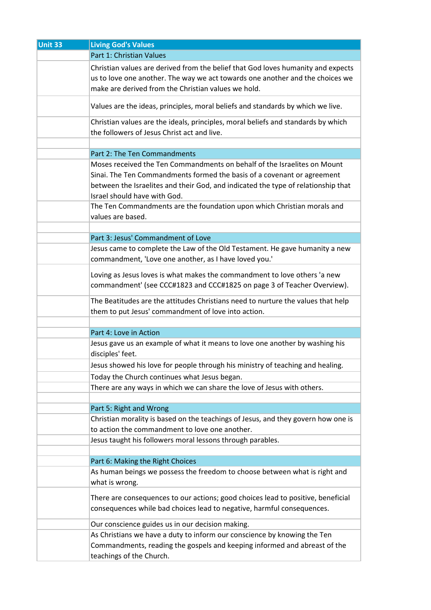| Unit 33 | <b>Living God's Values</b>                                                                                                                                                                                                               |
|---------|------------------------------------------------------------------------------------------------------------------------------------------------------------------------------------------------------------------------------------------|
|         | Part 1: Christian Values                                                                                                                                                                                                                 |
|         | Christian values are derived from the belief that God loves humanity and expects<br>us to love one another. The way we act towards one another and the choices we<br>make are derived from the Christian values we hold.                 |
|         | Values are the ideas, principles, moral beliefs and standards by which we live.                                                                                                                                                          |
|         | Christian values are the ideals, principles, moral beliefs and standards by which<br>the followers of Jesus Christ act and live.                                                                                                         |
|         |                                                                                                                                                                                                                                          |
|         | Part 2: The Ten Commandments                                                                                                                                                                                                             |
|         | Moses received the Ten Commandments on behalf of the Israelites on Mount<br>Sinai. The Ten Commandments formed the basis of a covenant or agreement<br>between the Israelites and their God, and indicated the type of relationship that |
|         | Israel should have with God.<br>The Ten Commandments are the foundation upon which Christian morals and<br>values are based.                                                                                                             |
|         |                                                                                                                                                                                                                                          |
|         | Part 3: Jesus' Commandment of Love                                                                                                                                                                                                       |
|         | Jesus came to complete the Law of the Old Testament. He gave humanity a new<br>commandment, 'Love one another, as I have loved you.'                                                                                                     |
|         | Loving as Jesus loves is what makes the commandment to love others 'a new<br>commandment' (see CCC#1823 and CCC#1825 on page 3 of Teacher Overview).                                                                                     |
|         | The Beatitudes are the attitudes Christians need to nurture the values that help<br>them to put Jesus' commandment of love into action.                                                                                                  |
|         |                                                                                                                                                                                                                                          |
|         | Part 4: Love in Action                                                                                                                                                                                                                   |
|         | Jesus gave us an example of what it means to love one another by washing his<br>disciples' feet.                                                                                                                                         |
|         | Jesus showed his love for people through his ministry of teaching and healing.                                                                                                                                                           |
|         | Today the Church continues what Jesus began.                                                                                                                                                                                             |
|         | There are any ways in which we can share the love of Jesus with others.                                                                                                                                                                  |
|         |                                                                                                                                                                                                                                          |
|         | Part 5: Right and Wrong                                                                                                                                                                                                                  |
|         | Christian morality is based on the teachings of Jesus, and they govern how one is<br>to action the commandment to love one another.                                                                                                      |
|         | Jesus taught his followers moral lessons through parables.                                                                                                                                                                               |
|         |                                                                                                                                                                                                                                          |
|         | Part 6: Making the Right Choices                                                                                                                                                                                                         |
|         | As human beings we possess the freedom to choose between what is right and<br>what is wrong.                                                                                                                                             |
|         | There are consequences to our actions; good choices lead to positive, beneficial<br>consequences while bad choices lead to negative, harmful consequences.                                                                               |
|         | Our conscience guides us in our decision making.                                                                                                                                                                                         |
|         | As Christians we have a duty to inform our conscience by knowing the Ten<br>Commandments, reading the gospels and keeping informed and abreast of the<br>teachings of the Church.                                                        |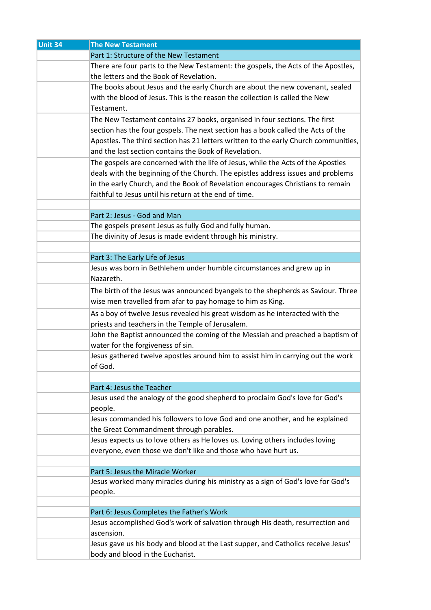| Unit 34 | <b>The New Testament</b>                                                                    |
|---------|---------------------------------------------------------------------------------------------|
|         | Part 1: Structure of the New Testament                                                      |
|         | There are four parts to the New Testament: the gospels, the Acts of the Apostles,           |
|         | the letters and the Book of Revelation.                                                     |
|         | The books about Jesus and the early Church are about the new covenant, sealed               |
|         | with the blood of Jesus. This is the reason the collection is called the New                |
|         | Testament.                                                                                  |
|         | The New Testament contains 27 books, organised in four sections. The first                  |
|         | section has the four gospels. The next section has a book called the Acts of the            |
|         | Apostles. The third section has 21 letters written to the early Church communities,         |
|         | and the last section contains the Book of Revelation.                                       |
|         | The gospels are concerned with the life of Jesus, while the Acts of the Apostles            |
|         | deals with the beginning of the Church. The epistles address issues and problems            |
|         | in the early Church, and the Book of Revelation encourages Christians to remain             |
|         | faithful to Jesus until his return at the end of time.                                      |
|         |                                                                                             |
|         | Part 2: Jesus - God and Man                                                                 |
|         | The gospels present Jesus as fully God and fully human.                                     |
|         | The divinity of Jesus is made evident through his ministry.                                 |
|         |                                                                                             |
|         | Part 3: The Early Life of Jesus                                                             |
|         | Jesus was born in Bethlehem under humble circumstances and grew up in<br>Nazareth.          |
|         | The birth of the Jesus was announced byangels to the shepherds as Saviour. Three            |
|         | wise men travelled from afar to pay homage to him as King.                                  |
|         | As a boy of twelve Jesus revealed his great wisdom as he interacted with the                |
|         | priests and teachers in the Temple of Jerusalem.                                            |
|         | John the Baptist announced the coming of the Messiah and preached a baptism of              |
|         | water for the forgiveness of sin.                                                           |
|         | Jesus gathered twelve apostles around him to assist him in carrying out the work<br>of God. |
|         |                                                                                             |
|         | Part 4: Jesus the Teacher                                                                   |
|         | Jesus used the analogy of the good shepherd to proclaim God's love for God's                |
|         | people.                                                                                     |
|         | Jesus commanded his followers to love God and one another, and he explained                 |
|         | the Great Commandment through parables.                                                     |
|         | Jesus expects us to love others as He loves us. Loving others includes loving               |
|         | everyone, even those we don't like and those who have hurt us.                              |
|         |                                                                                             |
|         | Part 5: Jesus the Miracle Worker                                                            |
|         | Jesus worked many miracles during his ministry as a sign of God's love for God's<br>people. |
|         |                                                                                             |
|         | Part 6: Jesus Completes the Father's Work                                                   |
|         | Jesus accomplished God's work of salvation through His death, resurrection and              |
|         | ascension.                                                                                  |
|         | Jesus gave us his body and blood at the Last supper, and Catholics receive Jesus'           |
|         | body and blood in the Eucharist.                                                            |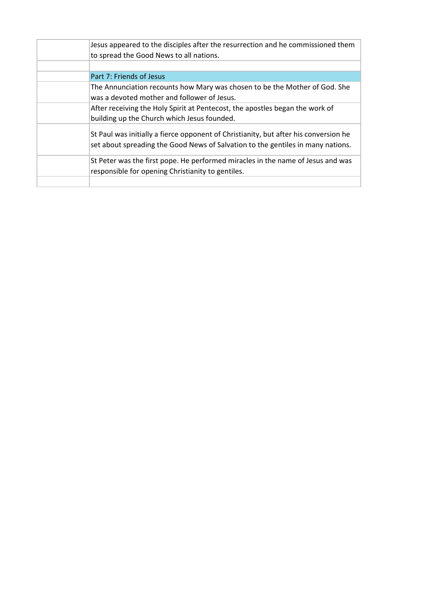| Jesus appeared to the disciples after the resurrection and he commissioned them<br>to spread the Good News to all nations.                                              |
|-------------------------------------------------------------------------------------------------------------------------------------------------------------------------|
|                                                                                                                                                                         |
| Part 7: Friends of Jesus                                                                                                                                                |
| The Annunciation recounts how Mary was chosen to be the Mother of God. She<br>was a devoted mother and follower of Jesus.                                               |
| After receiving the Holy Spirit at Pentecost, the apostles began the work of<br>building up the Church which Jesus founded.                                             |
| St Paul was initially a fierce opponent of Christianity, but after his conversion he<br>set about spreading the Good News of Salvation to the gentiles in many nations. |
| St Peter was the first pope. He performed miracles in the name of Jesus and was<br>responsible for opening Christianity to gentiles.                                    |
|                                                                                                                                                                         |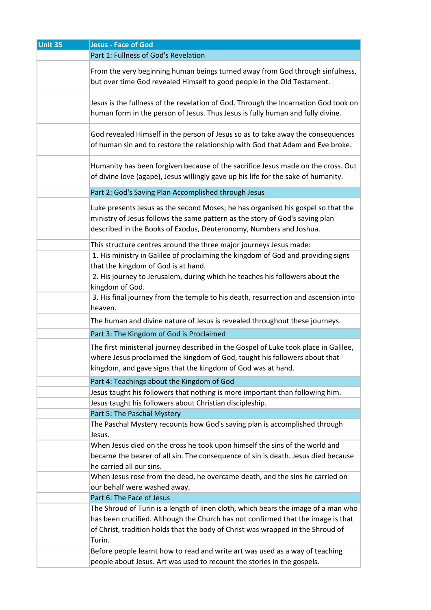| Unit 35 | <b>Jesus - Face of God</b>                                                                                                                                                                                                                                          |
|---------|---------------------------------------------------------------------------------------------------------------------------------------------------------------------------------------------------------------------------------------------------------------------|
|         | Part 1: Fullness of God's Revelation                                                                                                                                                                                                                                |
|         | From the very beginning human beings turned away from God through sinfulness,<br>but over time God revealed Himself to good people in the Old Testament.                                                                                                            |
|         | Jesus is the fullness of the revelation of God. Through the Incarnation God took on<br>human form in the person of Jesus. Thus Jesus is fully human and fully divine.                                                                                               |
|         | God revealed Himself in the person of Jesus so as to take away the consequences<br>of human sin and to restore the relationship with God that Adam and Eve broke.                                                                                                   |
|         | Humanity has been forgiven because of the sacrifice Jesus made on the cross. Out<br>of divine love (agape), Jesus willingly gave up his life for the sake of humanity.                                                                                              |
|         | Part 2: God's Saving Plan Accomplished through Jesus                                                                                                                                                                                                                |
|         | Luke presents Jesus as the second Moses; he has organised his gospel so that the<br>ministry of Jesus follows the same pattern as the story of God's saving plan<br>described in the Books of Exodus, Deuteronomy, Numbers and Joshua.                              |
|         | This structure centres around the three major journeys Jesus made:<br>1. His ministry in Galilee of proclaiming the kingdom of God and providing signs<br>that the kingdom of God is at hand.                                                                       |
|         | 2. His journey to Jerusalem, during which he teaches his followers about the<br>kingdom of God.                                                                                                                                                                     |
|         | 3. His final journey from the temple to his death, resurrection and ascension into<br>heaven.                                                                                                                                                                       |
|         | The human and divine nature of Jesus is revealed throughout these journeys.                                                                                                                                                                                         |
|         | Part 3: The Kingdom of God is Proclaimed                                                                                                                                                                                                                            |
|         | The first ministerial journey described in the Gospel of Luke took place in Galilee,<br>where Jesus proclaimed the kingdom of God, taught his followers about that<br>kingdom, and gave signs that the kingdom of God was at hand.                                  |
|         | Part 4: Teachings about the Kingdom of God                                                                                                                                                                                                                          |
|         | Jesus taught his followers that nothing is more important than following him.                                                                                                                                                                                       |
|         | Jesus taught his followers about Christian discipleship.                                                                                                                                                                                                            |
|         | Part 5: The Paschal Mystery                                                                                                                                                                                                                                         |
|         | The Paschal Mystery recounts how God's saving plan is accomplished through<br>Jesus.                                                                                                                                                                                |
|         | When Jesus died on the cross he took upon himself the sins of the world and<br>became the bearer of all sin. The consequence of sin is death. Jesus died because<br>he carried all our sins.                                                                        |
|         | When Jesus rose from the dead, he overcame death, and the sins he carried on<br>our behalf were washed away.                                                                                                                                                        |
|         | Part 6: The Face of Jesus                                                                                                                                                                                                                                           |
|         | The Shroud of Turin is a length of linen cloth, which bears the image of a man who<br>has been crucified. Although the Church has not confirmed that the image is that<br>of Christ, tradition holds that the body of Christ was wrapped in the Shroud of<br>Turin. |
|         | Before people learnt how to read and write art was used as a way of teaching<br>people about Jesus. Art was used to recount the stories in the gospels.                                                                                                             |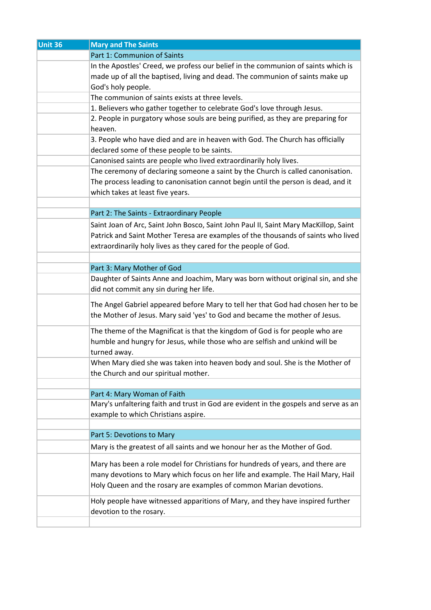| Unit 36 | <b>Mary and The Saints</b>                                                                   |
|---------|----------------------------------------------------------------------------------------------|
|         | Part 1: Communion of Saints                                                                  |
|         | In the Apostles' Creed, we profess our belief in the communion of saints which is            |
|         | made up of all the baptised, living and dead. The communion of saints make up                |
|         | God's holy people.                                                                           |
|         | The communion of saints exists at three levels.                                              |
|         | 1. Believers who gather together to celebrate God's love through Jesus.                      |
|         | 2. People in purgatory whose souls are being purified, as they are preparing for             |
|         | heaven.                                                                                      |
|         | 3. People who have died and are in heaven with God. The Church has officially                |
|         | declared some of these people to be saints.                                                  |
|         | Canonised saints are people who lived extraordinarily holy lives.                            |
|         | The ceremony of declaring someone a saint by the Church is called canonisation.              |
|         | The process leading to canonisation cannot begin until the person is dead, and it            |
|         | which takes at least five years.                                                             |
|         |                                                                                              |
|         | Part 2: The Saints - Extraordinary People                                                    |
|         | Saint Joan of Arc, Saint John Bosco, Saint John Paul II, Saint Mary MacKillop, Saint         |
|         | Patrick and Saint Mother Teresa are examples of the thousands of saints who lived            |
|         | extraordinarily holy lives as they cared for the people of God.                              |
|         |                                                                                              |
|         | Part 3: Mary Mother of God                                                                   |
|         | Daughter of Saints Anne and Joachim, Mary was born without original sin, and she             |
|         | did not commit any sin during her life.                                                      |
|         | The Angel Gabriel appeared before Mary to tell her that God had chosen her to be             |
|         | the Mother of Jesus. Mary said 'yes' to God and became the mother of Jesus.                  |
|         |                                                                                              |
|         | The theme of the Magnificat is that the kingdom of God is for people who are                 |
|         | humble and hungry for Jesus, while those who are selfish and unkind will be                  |
|         | turned away.<br>When Mary died she was taken into heaven body and soul. She is the Mother of |
|         | the Church and our spiritual mother.                                                         |
|         |                                                                                              |
|         | Part 4: Mary Woman of Faith                                                                  |
|         | Mary's unfaltering faith and trust in God are evident in the gospels and serve as an         |
|         | example to which Christians aspire.                                                          |
|         |                                                                                              |
|         | Part 5: Devotions to Mary                                                                    |
|         | Mary is the greatest of all saints and we honour her as the Mother of God.                   |
|         |                                                                                              |
|         | Mary has been a role model for Christians for hundreds of years, and there are               |
|         | many devotions to Mary which focus on her life and example. The Hail Mary, Hail              |
|         | Holy Queen and the rosary are examples of common Marian devotions.                           |
|         | Holy people have witnessed apparitions of Mary, and they have inspired further               |
|         | devotion to the rosary.                                                                      |
|         |                                                                                              |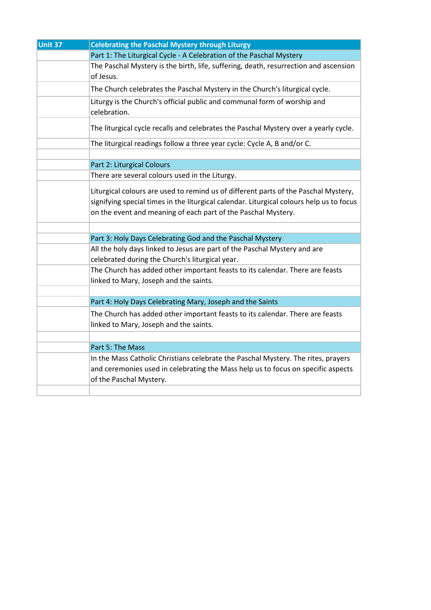| Unit 37 | <b>Celebrating the Paschal Mystery through Liturgy</b>                                                                                                                                                                                           |
|---------|--------------------------------------------------------------------------------------------------------------------------------------------------------------------------------------------------------------------------------------------------|
|         | Part 1: The Liturgical Cycle - A Celebration of the Paschal Mystery                                                                                                                                                                              |
|         | The Paschal Mystery is the birth, life, suffering, death, resurrection and ascension<br>of Jesus.                                                                                                                                                |
|         | The Church celebrates the Paschal Mystery in the Church's liturgical cycle.                                                                                                                                                                      |
|         | Liturgy is the Church's official public and communal form of worship and<br>celebration.                                                                                                                                                         |
|         | The liturgical cycle recalls and celebrates the Paschal Mystery over a yearly cycle.                                                                                                                                                             |
|         | The liturgical readings follow a three year cycle: Cycle A, B and/or C.                                                                                                                                                                          |
|         |                                                                                                                                                                                                                                                  |
|         | Part 2: Liturgical Colours                                                                                                                                                                                                                       |
|         | There are several colours used in the Liturgy.                                                                                                                                                                                                   |
|         | Liturgical colours are used to remind us of different parts of the Paschal Mystery,<br>signifying special times in the liturgical calendar. Liturgical colours help us to focus<br>on the event and meaning of each part of the Paschal Mystery. |
|         |                                                                                                                                                                                                                                                  |
|         | Part 3: Holy Days Celebrating God and the Paschal Mystery                                                                                                                                                                                        |
|         | All the holy days linked to Jesus are part of the Paschal Mystery and are<br>celebrated during the Church's liturgical year.                                                                                                                     |
|         | The Church has added other important feasts to its calendar. There are feasts<br>linked to Mary, Joseph and the saints.                                                                                                                          |
|         |                                                                                                                                                                                                                                                  |
|         | Part 4: Holy Days Celebrating Mary, Joseph and the Saints                                                                                                                                                                                        |
|         | The Church has added other important feasts to its calendar. There are feasts<br>linked to Mary, Joseph and the saints.                                                                                                                          |
|         |                                                                                                                                                                                                                                                  |
|         | Part 5: The Mass                                                                                                                                                                                                                                 |
|         | In the Mass Catholic Christians celebrate the Paschal Mystery. The rites, prayers<br>and ceremonies used in celebrating the Mass help us to focus on specific aspects<br>of the Paschal Mystery.                                                 |
|         |                                                                                                                                                                                                                                                  |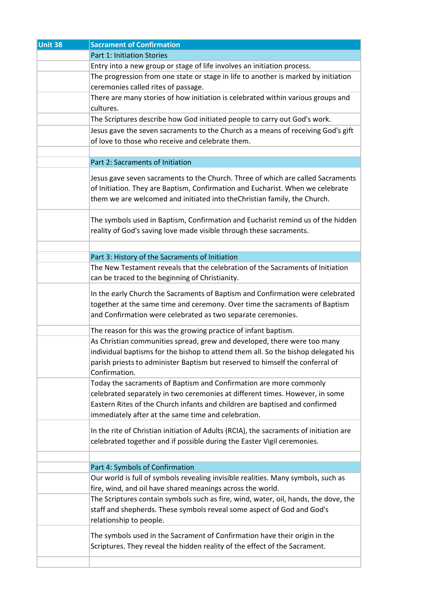| <b>Unit 38</b> | <b>Sacrament of Confirmation</b>                                                                                                                       |
|----------------|--------------------------------------------------------------------------------------------------------------------------------------------------------|
|                | Part 1: Initiation Stories                                                                                                                             |
|                | Entry into a new group or stage of life involves an initiation process.                                                                                |
|                | The progression from one state or stage in life to another is marked by initiation                                                                     |
|                | ceremonies called rites of passage.                                                                                                                    |
|                | There are many stories of how initiation is celebrated within various groups and                                                                       |
|                | cultures.                                                                                                                                              |
|                | The Scriptures describe how God initiated people to carry out God's work.                                                                              |
|                | Jesus gave the seven sacraments to the Church as a means of receiving God's gift                                                                       |
|                | of love to those who receive and celebrate them.                                                                                                       |
|                |                                                                                                                                                        |
|                | Part 2: Sacraments of Initiation                                                                                                                       |
|                | Jesus gave seven sacraments to the Church. Three of which are called Sacraments                                                                        |
|                | of Initiation. They are Baptism, Confirmation and Eucharist. When we celebrate                                                                         |
|                | them we are welcomed and initiated into theChristian family, the Church.                                                                               |
|                |                                                                                                                                                        |
|                | The symbols used in Baptism, Confirmation and Eucharist remind us of the hidden<br>reality of God's saving love made visible through these sacraments. |
|                |                                                                                                                                                        |
|                | Part 3: History of the Sacraments of Initiation                                                                                                        |
|                | The New Testament reveals that the celebration of the Sacraments of Initiation                                                                         |
|                | can be traced to the beginning of Christianity.                                                                                                        |
|                | In the early Church the Sacraments of Baptism and Confirmation were celebrated                                                                         |
|                | together at the same time and ceremony. Over time the sacraments of Baptism                                                                            |
|                | and Confirmation were celebrated as two separate ceremonies.                                                                                           |
|                |                                                                                                                                                        |
|                | The reason for this was the growing practice of infant baptism.                                                                                        |
|                | As Christian communities spread, grew and developed, there were too many                                                                               |
|                | individual baptisms for the bishop to attend them all. So the bishop delegated his                                                                     |
|                | parish priests to administer Baptism but reserved to himself the conferral of<br>Confirmation.                                                         |
|                | Today the sacraments of Baptism and Confirmation are more commonly                                                                                     |
|                | celebrated separately in two ceremonies at different times. However, in some                                                                           |
|                | Eastern Rites of the Church infants and children are baptised and confirmed                                                                            |
|                | immediately after at the same time and celebration.                                                                                                    |
|                |                                                                                                                                                        |
|                | In the rite of Christian initiation of Adults (RCIA), the sacraments of initiation are                                                                 |
|                | celebrated together and if possible during the Easter Vigil ceremonies.                                                                                |
|                |                                                                                                                                                        |
|                | Part 4: Symbols of Confirmation                                                                                                                        |
|                | Our world is full of symbols revealing invisible realities. Many symbols, such as                                                                      |
|                | fire, wind, and oil have shared meanings across the world.                                                                                             |
|                | The Scriptures contain symbols such as fire, wind, water, oil, hands, the dove, the                                                                    |
|                | staff and shepherds. These symbols reveal some aspect of God and God's                                                                                 |
|                | relationship to people.                                                                                                                                |
|                | The symbols used in the Sacrament of Confirmation have their origin in the                                                                             |
|                | Scriptures. They reveal the hidden reality of the effect of the Sacrament.                                                                             |
|                |                                                                                                                                                        |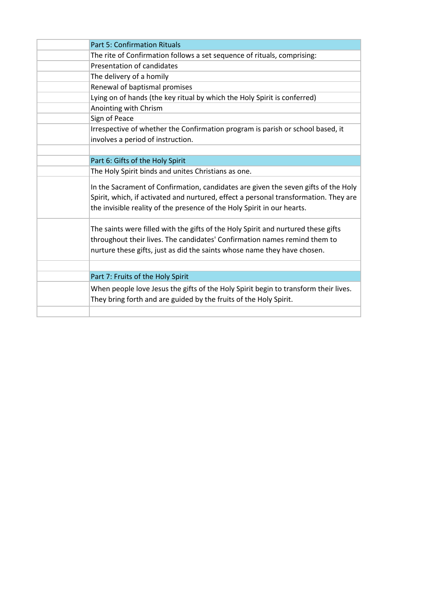| <b>Part 5: Confirmation Rituals</b>                                                                                                                                        |
|----------------------------------------------------------------------------------------------------------------------------------------------------------------------------|
| The rite of Confirmation follows a set sequence of rituals, comprising:                                                                                                    |
| Presentation of candidates                                                                                                                                                 |
| The delivery of a homily                                                                                                                                                   |
| Renewal of baptismal promises                                                                                                                                              |
| Lying on of hands (the key ritual by which the Holy Spirit is conferred)                                                                                                   |
| Anointing with Chrism                                                                                                                                                      |
| Sign of Peace                                                                                                                                                              |
| Irrespective of whether the Confirmation program is parish or school based, it                                                                                             |
| involves a period of instruction.                                                                                                                                          |
|                                                                                                                                                                            |
| Part 6: Gifts of the Holy Spirit                                                                                                                                           |
| The Holy Spirit binds and unites Christians as one.                                                                                                                        |
| In the Sacrament of Confirmation, candidates are given the seven gifts of the Holy<br>Spirit, which, if activated and nurtured, effect a personal transformation. They are |
| the invisible reality of the presence of the Holy Spirit in our hearts.                                                                                                    |
| The saints were filled with the gifts of the Holy Spirit and nurtured these gifts                                                                                          |
| throughout their lives. The candidates' Confirmation names remind them to                                                                                                  |
| nurture these gifts, just as did the saints whose name they have chosen.                                                                                                   |
| Part 7: Fruits of the Holy Spirit                                                                                                                                          |
| When people love Jesus the gifts of the Holy Spirit begin to transform their lives.<br>They bring forth and are guided by the fruits of the Holy Spirit.                   |
|                                                                                                                                                                            |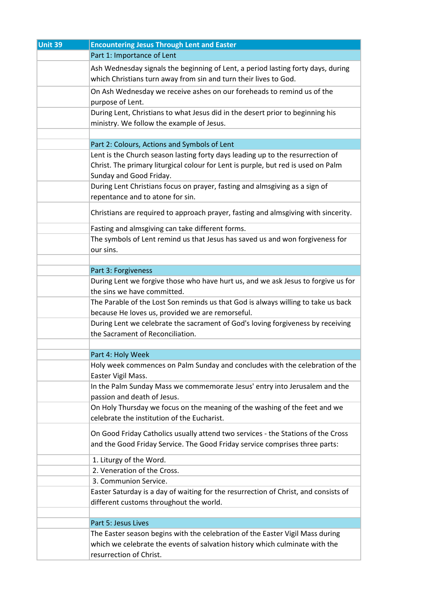| <b>Unit 39</b> | <b>Encountering Jesus Through Lent and Easter</b>                                                                                                                                              |
|----------------|------------------------------------------------------------------------------------------------------------------------------------------------------------------------------------------------|
|                | Part 1: Importance of Lent                                                                                                                                                                     |
|                | Ash Wednesday signals the beginning of Lent, a period lasting forty days, during<br>which Christians turn away from sin and turn their lives to God.                                           |
|                | On Ash Wednesday we receive ashes on our foreheads to remind us of the<br>purpose of Lent.                                                                                                     |
|                | During Lent, Christians to what Jesus did in the desert prior to beginning his<br>ministry. We follow the example of Jesus.                                                                    |
|                | Part 2: Colours, Actions and Symbols of Lent                                                                                                                                                   |
|                | Lent is the Church season lasting forty days leading up to the resurrection of<br>Christ. The primary liturgical colour for Lent is purple, but red is used on Palm<br>Sunday and Good Friday. |
|                | During Lent Christians focus on prayer, fasting and almsgiving as a sign of<br>repentance and to atone for sin.                                                                                |
|                | Christians are required to approach prayer, fasting and almsgiving with sincerity.                                                                                                             |
|                | Fasting and almsgiving can take different forms.                                                                                                                                               |
|                | The symbols of Lent remind us that Jesus has saved us and won forgiveness for<br>our sins.                                                                                                     |
|                | Part 3: Forgiveness                                                                                                                                                                            |
|                | During Lent we forgive those who have hurt us, and we ask Jesus to forgive us for<br>the sins we have committed.                                                                               |
|                | The Parable of the Lost Son reminds us that God is always willing to take us back<br>because He loves us, provided we are remorseful.                                                          |
|                | During Lent we celebrate the sacrament of God's loving forgiveness by receiving<br>the Sacrament of Reconciliation.                                                                            |
|                |                                                                                                                                                                                                |
|                | Part 4: Holy Week                                                                                                                                                                              |
|                | Holy week commences on Palm Sunday and concludes with the celebration of the<br>Easter Vigil Mass.                                                                                             |
|                | In the Palm Sunday Mass we commemorate Jesus' entry into Jerusalem and the<br>passion and death of Jesus.                                                                                      |
|                | On Holy Thursday we focus on the meaning of the washing of the feet and we<br>celebrate the institution of the Eucharist.                                                                      |
|                | On Good Friday Catholics usually attend two services - the Stations of the Cross<br>and the Good Friday Service. The Good Friday service comprises three parts:                                |
|                | 1. Liturgy of the Word.                                                                                                                                                                        |
|                | 2. Veneration of the Cross.                                                                                                                                                                    |
|                | 3. Communion Service.                                                                                                                                                                          |
|                | Easter Saturday is a day of waiting for the resurrection of Christ, and consists of<br>different customs throughout the world.                                                                 |
|                |                                                                                                                                                                                                |
|                | Part 5: Jesus Lives                                                                                                                                                                            |
|                | The Easter season begins with the celebration of the Easter Vigil Mass during<br>which we celebrate the events of salvation history which culminate with the<br>resurrection of Christ.        |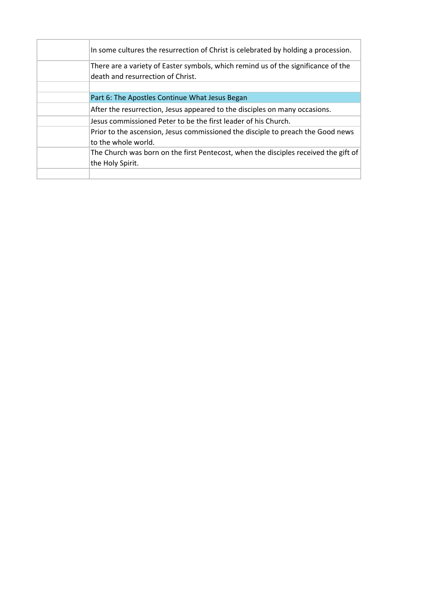| In some cultures the resurrection of Christ is celebrated by holding a procession.                                     |
|------------------------------------------------------------------------------------------------------------------------|
| There are a variety of Easter symbols, which remind us of the significance of the<br>death and resurrection of Christ. |
|                                                                                                                        |
| Part 6: The Apostles Continue What Jesus Began                                                                         |
| After the resurrection, Jesus appeared to the disciples on many occasions.                                             |
| Jesus commissioned Peter to be the first leader of his Church.                                                         |
| Prior to the ascension, Jesus commissioned the disciple to preach the Good news<br>to the whole world.                 |
| The Church was born on the first Pentecost, when the disciples received the gift of<br>the Holy Spirit.                |
|                                                                                                                        |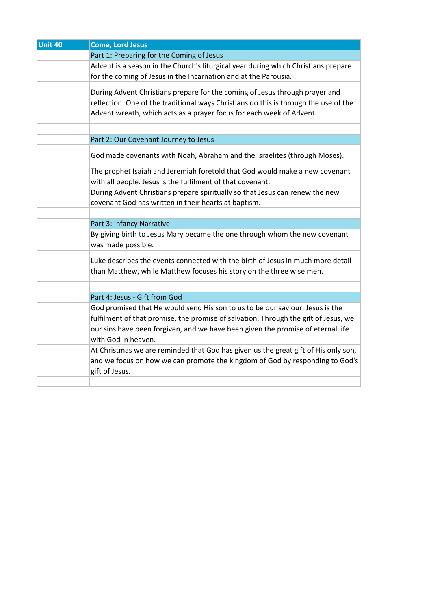| Unit 40 | <b>Come, Lord Jesus</b>                                                                                                                                                                                                                                                        |
|---------|--------------------------------------------------------------------------------------------------------------------------------------------------------------------------------------------------------------------------------------------------------------------------------|
|         | Part 1: Preparing for the Coming of Jesus                                                                                                                                                                                                                                      |
|         | Advent is a season in the Church's liturgical year during which Christians prepare                                                                                                                                                                                             |
|         | for the coming of Jesus in the Incarnation and at the Parousia.                                                                                                                                                                                                                |
|         | During Advent Christians prepare for the coming of Jesus through prayer and<br>reflection. One of the traditional ways Christians do this is through the use of the<br>Advent wreath, which acts as a prayer focus for each week of Advent.                                    |
|         |                                                                                                                                                                                                                                                                                |
|         | Part 2: Our Covenant Journey to Jesus                                                                                                                                                                                                                                          |
|         | God made covenants with Noah, Abraham and the Israelites (through Moses).                                                                                                                                                                                                      |
|         | The prophet Isaiah and Jeremiah foretold that God would make a new covenant<br>with all people. Jesus is the fulfilment of that covenant.                                                                                                                                      |
|         | During Advent Christians prepare spiritually so that Jesus can renew the new<br>covenant God has written in their hearts at baptism.                                                                                                                                           |
|         |                                                                                                                                                                                                                                                                                |
|         | Part 3: Infancy Narrative                                                                                                                                                                                                                                                      |
|         | By giving birth to Jesus Mary became the one through whom the new covenant<br>was made possible.                                                                                                                                                                               |
|         | Luke describes the events connected with the birth of Jesus in much more detail<br>than Matthew, while Matthew focuses his story on the three wise men.                                                                                                                        |
|         |                                                                                                                                                                                                                                                                                |
|         | Part 4: Jesus - Gift from God                                                                                                                                                                                                                                                  |
|         | God promised that He would send His son to us to be our saviour. Jesus is the<br>fulfilment of that promise, the promise of salvation. Through the gift of Jesus, we<br>our sins have been forgiven, and we have been given the promise of eternal life<br>with God in heaven. |
|         | At Christmas we are reminded that God has given us the great gift of His only son,<br>and we focus on how we can promote the kingdom of God by responding to God's<br>gift of Jesus.                                                                                           |